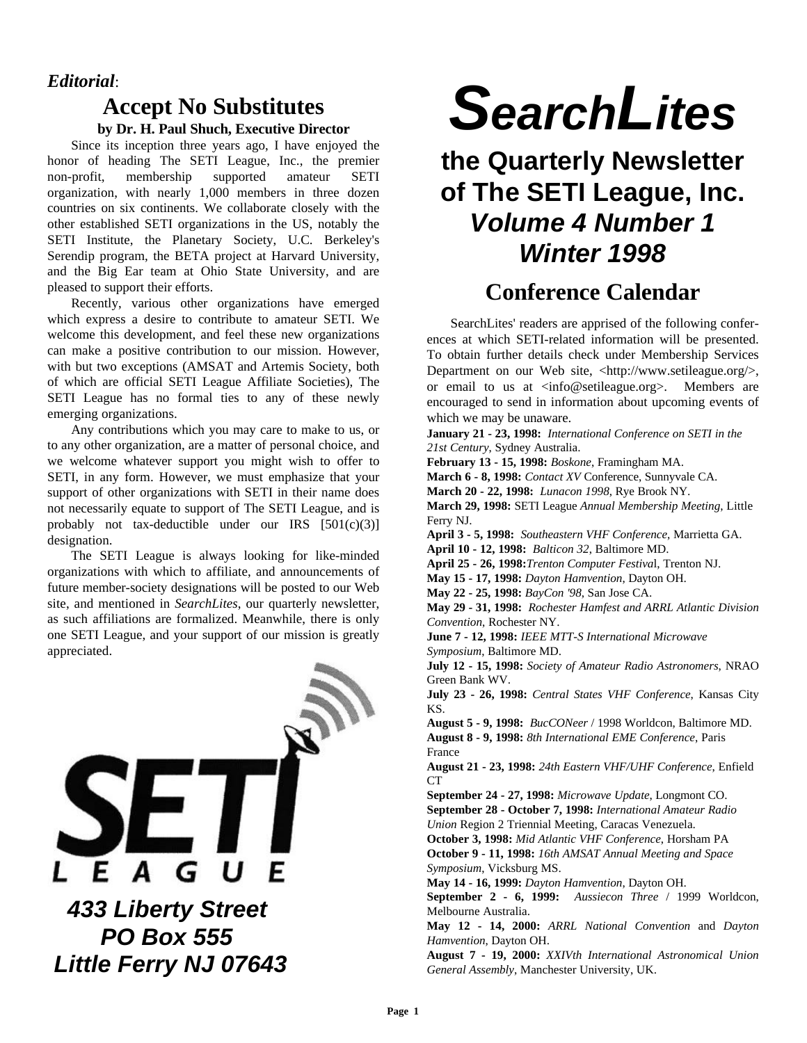## *Editorial*:

# **Accept No Substitutes by Dr. H. Paul Shuch, Executive Director**

Since its inception three years ago, I have enjoyed the honor of heading The SETI League, Inc., the premier non-profit, membership supported amateur SETI organization, with nearly 1,000 members in three dozen countries on six continents. We collaborate closely with the other established SETI organizations in the US, notably the SETI Institute, the Planetary Society, U.C. Berkeley's Serendip program, the BETA project at Harvard University, and the Big Ear team at Ohio State University, and are pleased to support their efforts.

Recently, various other organizations have emerged which express a desire to contribute to amateur SETI. We welcome this development, and feel these new organizations can make a positive contribution to our mission. However, with but two exceptions (AMSAT and Artemis Society, both of which are official SETI League Affiliate Societies), The SETI League has no formal ties to any of these newly emerging organizations.

Any contributions which you may care to make to us, or to any other organization, are a matter of personal choice, and we welcome whatever support you might wish to offer to SETI, in any form. However, we must emphasize that your support of other organizations with SETI in their name does not necessarily equate to support of The SETI League, and is probably not tax-deductible under our IRS  $[501(c)(3)]$ designation.

The SETI League is always looking for like-minded organizations with which to affiliate, and announcements of future member-society designations will be posted to our Web site, and mentioned in *SearchLites*, our quarterly newsletter, as such affiliations are formalized. Meanwhile, there is only one SETI League, and your support of our mission is greatly appreciated.



 *PO Box 555 Little Ferry NJ 07643*

# *SearchLites*

# **the Quarterly Newsletter of The SETI League, Inc.** *Volume 4 Number 1 Winter 1998*

# **Conference Calendar**

SearchLites' readers are apprised of the following conferences at which SETI-related information will be presented. To obtain further details check under Membership Services Department on our Web site, <http://www.setileague.org/>, or email to us at <info@setileague.org>. Members are encouraged to send in information about upcoming events of which we may be unaware.

**January 21 - 23, 1998:** *International Conference on SETI in the 21st Century*, Sydney Australia.

**February 13 - 15, 1998:** *Boskone*, Framingham MA.

**March 6 - 8, 1998:** *Contact XV* Conference, Sunnyvale CA.

**March 20 - 22, 1998:** *Lunacon 1998*, Rye Brook NY.

**March 29, 1998:** SETI League *Annual Membership Meeting*, Little Ferry NJ.

**April 3 - 5, 1998:** *Southeastern VHF Conference*, Marrietta GA.

**April 10 - 12, 1998:** *Balticon 32*, Baltimore MD.

**April 25 - 26, 1998:***Trenton Computer Festiva*l, Trenton NJ.

**May 15 - 17, 1998:** *Dayton Hamvention*, Dayton OH.

**May 22 - 25, 1998:** *BayCon '98*, San Jose CA.

**May 29 - 31, 1998:** *Rochester Hamfest and ARRL Atlantic Division Convention*, Rochester NY.

**June 7 - 12, 1998:** *IEEE MTT-S International Microwave Symposium*, Baltimore MD.

**July 12 - 15, 1998:** *Society of Amateur Radio Astronomers*, NRAO Green Bank WV.

**July 23 - 26, 1998:** *Central States VHF Conference*, Kansas City KS.

**August 5 - 9, 1998:** *BucCONeer* / 1998 Worldcon, Baltimore MD. **August 8 - 9, 1998:** *8th International EME Conference*, Paris France

**August 21 - 23, 1998:** *24th Eastern VHF/UHF Conference*, Enfield CT

**September 24 - 27, 1998:** *Microwave Update*, Longmont CO. **September 28 - October 7, 1998:** *International Amateur Radio Union* Region 2 Triennial Meeting, Caracas Venezuela.

**October 3, 1998:** *Mid Atlantic VHF Conference*, Horsham PA **October 9 - 11, 1998:** *16th AMSAT Annual Meeting and Space Symposium*, Vicksburg MS.

**May 14 - 16, 1999:** *Dayton Hamvention*, Dayton OH.

**September 2 - 6, 1999:** *Aussiecon Three* / 1999 Worldcon, Melbourne Australia.

**May 12 - 14, 2000:** *ARRL National Convention* and *Dayton Hamvention*, Dayton OH.

**August 7 - 19, 2000:** *XXIVth International Astronomical Union General Assembly*, Manchester University, UK.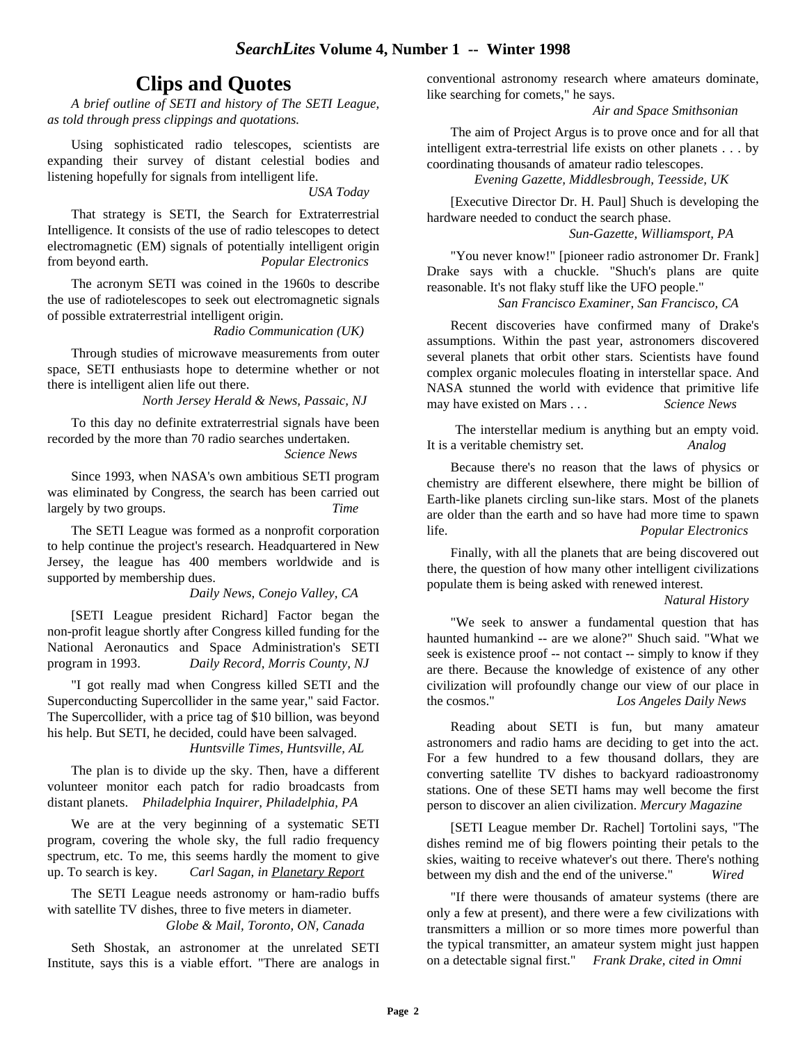# **Clips and Quotes**

*A brief outline of SETI and history of The SETI League, as told through press clippings and quotations.*

Using sophisticated radio telescopes, scientists are expanding their survey of distant celestial bodies and listening hopefully for signals from intelligent life.

*USA Today*

That strategy is SETI, the Search for Extraterrestrial Intelligence. It consists of the use of radio telescopes to detect electromagnetic (EM) signals of potentially intelligent origin from beyond earth. *Popular Electronics*

The acronym SETI was coined in the 1960s to describe the use of radiotelescopes to seek out electromagnetic signals of possible extraterrestrial intelligent origin.

*Radio Communication (UK)*

Through studies of microwave measurements from outer space, SETI enthusiasts hope to determine whether or not there is intelligent alien life out there.

*North Jersey Herald & News, Passaic, NJ*

To this day no definite extraterrestrial signals have been recorded by the more than 70 radio searches undertaken. *Science News*

Since 1993, when NASA's own ambitious SETI program was eliminated by Congress, the search has been carried out largely by two groups. *Time*

The SETI League was formed as a nonprofit corporation to help continue the project's research. Headquartered in New Jersey, the league has 400 members worldwide and is supported by membership dues.

## *Daily News, Conejo Valley, CA*

[SETI League president Richard] Factor began the non-profit league shortly after Congress killed funding for the National Aeronautics and Space Administration's SETI program in 1993. *Daily Record, Morris County, NJ*

"I got really mad when Congress killed SETI and the Superconducting Supercollider in the same year," said Factor. The Supercollider, with a price tag of \$10 billion, was beyond his help. But SETI, he decided, could have been salvaged. *Huntsville Times, Huntsville, AL*

The plan is to divide up the sky. Then, have a different volunteer monitor each patch for radio broadcasts from distant planets. *Philadelphia Inquirer, Philadelphia, PA*

We are at the very beginning of a systematic SETI program, covering the whole sky, the full radio frequency spectrum, etc. To me, this seems hardly the moment to give up. To search is key. *Carl Sagan, in Planetary Report*

The SETI League needs astronomy or ham-radio buffs with satellite TV dishes, three to five meters in diameter. *Globe & Mail, Toronto, ON, Canada*

Seth Shostak, an astronomer at the unrelated SETI Institute, says this is a viable effort. "There are analogs in conventional astronomy research where amateurs dominate, like searching for comets," he says.

*Air and Space Smithsonian*

The aim of Project Argus is to prove once and for all that intelligent extra-terrestrial life exists on other planets . . . by coordinating thousands of amateur radio telescopes.

*Evening Gazette, Middlesbrough, Teesside, UK*

[Executive Director Dr. H. Paul] Shuch is developing the hardware needed to conduct the search phase.

## *Sun-Gazette, Williamsport, PA*

"You never know!" [pioneer radio astronomer Dr. Frank] Drake says with a chuckle. "Shuch's plans are quite reasonable. It's not flaky stuff like the UFO people."

#### *San Francisco Examiner, San Francisco, CA*

Recent discoveries have confirmed many of Drake's assumptions. Within the past year, astronomers discovered several planets that orbit other stars. Scientists have found complex organic molecules floating in interstellar space. And NASA stunned the world with evidence that primitive life may have existed on Mars . . . *Science News*

 The interstellar medium is anything but an empty void. It is a veritable chemistry set. *Analog*

Because there's no reason that the laws of physics or chemistry are different elsewhere, there might be billion of Earth-like planets circling sun-like stars. Most of the planets are older than the earth and so have had more time to spawn life. *Popular Electronics*

Finally, with all the planets that are being discovered out there, the question of how many other intelligent civilizations populate them is being asked with renewed interest.

## *Natural History*

"We seek to answer a fundamental question that has haunted humankind -- are we alone?" Shuch said. "What we seek is existence proof -- not contact -- simply to know if they are there. Because the knowledge of existence of any other civilization will profoundly change our view of our place in the cosmos." *Los Angeles Daily News*

Reading about SETI is fun, but many amateur astronomers and radio hams are deciding to get into the act. For a few hundred to a few thousand dollars, they are converting satellite TV dishes to backyard radioastronomy stations. One of these SETI hams may well become the first person to discover an alien civilization. *Mercury Magazine*

[SETI League member Dr. Rachel] Tortolini says, "The dishes remind me of big flowers pointing their petals to the skies, waiting to receive whatever's out there. There's nothing between my dish and the end of the universe." *Wired*

"If there were thousands of amateur systems (there are only a few at present), and there were a few civilizations with transmitters a million or so more times more powerful than the typical transmitter, an amateur system might just happen on a detectable signal first." *Frank Drake, cited in Omni*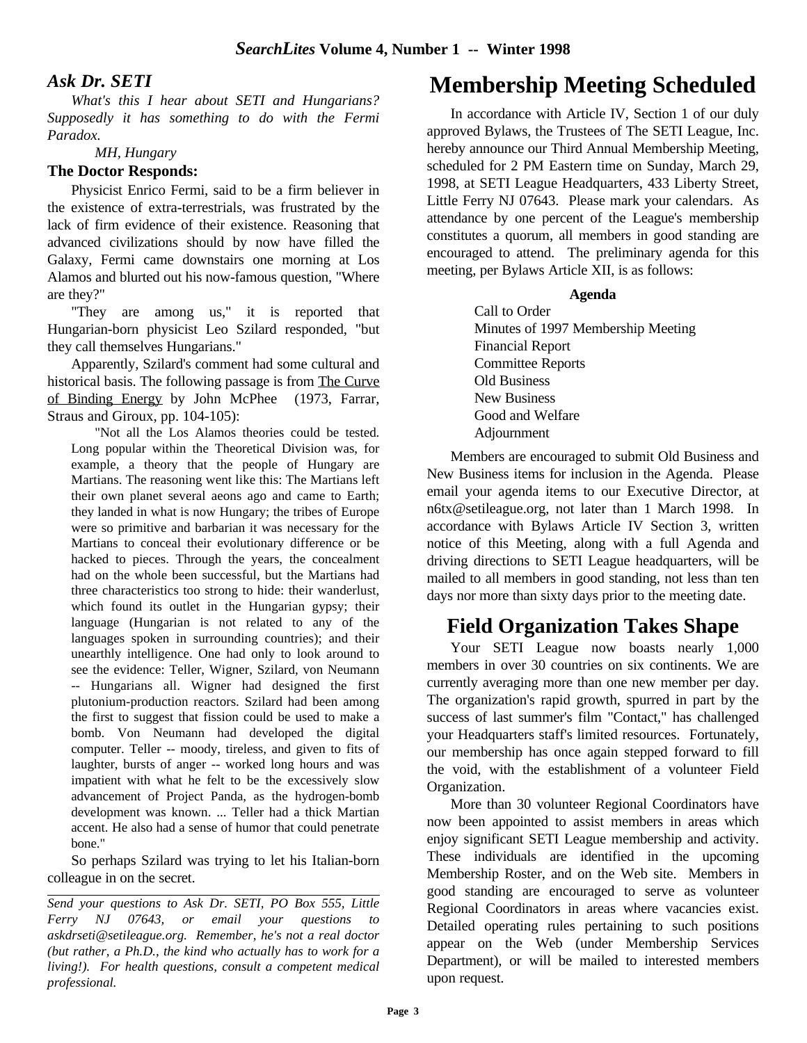## *Ask Dr. SETI*

*What's this I hear about SETI and Hungarians? Supposedly it has something to do with the Fermi Paradox.* 

*MH, Hungary*

## **The Doctor Responds:**

Physicist Enrico Fermi, said to be a firm believer in the existence of extra-terrestrials, was frustrated by the lack of firm evidence of their existence. Reasoning that advanced civilizations should by now have filled the Galaxy, Fermi came downstairs one morning at Los Alamos and blurted out his now-famous question, "Where are they?"

"They are among us," it is reported that Hungarian-born physicist Leo Szilard responded, "but they call themselves Hungarians."

Apparently, Szilard's comment had some cultural and historical basis. The following passage is from The Curve of Binding Energy by John McPhee (1973, Farrar, Straus and Giroux, pp. 104-105):

"Not all the Los Alamos theories could be tested. Long popular within the Theoretical Division was, for example, a theory that the people of Hungary are Martians. The reasoning went like this: The Martians left their own planet several aeons ago and came to Earth; they landed in what is now Hungary; the tribes of Europe were so primitive and barbarian it was necessary for the Martians to conceal their evolutionary difference or be hacked to pieces. Through the years, the concealment had on the whole been successful, but the Martians had three characteristics too strong to hide: their wanderlust, which found its outlet in the Hungarian gypsy; their language (Hungarian is not related to any of the languages spoken in surrounding countries); and their unearthly intelligence. One had only to look around to see the evidence: Teller, Wigner, Szilard, von Neumann -- Hungarians all. Wigner had designed the first plutonium-production reactors. Szilard had been among the first to suggest that fission could be used to make a bomb. Von Neumann had developed the digital computer. Teller -- moody, tireless, and given to fits of laughter, bursts of anger -- worked long hours and was impatient with what he felt to be the excessively slow advancement of Project Panda, as the hydrogen-bomb development was known. ... Teller had a thick Martian accent. He also had a sense of humor that could penetrate bone."

So perhaps Szilard was trying to let his Italian-born colleague in on the secret.

*Send your questions to Ask Dr. SETI, PO Box 555, Little Ferry NJ 07643, or email your questions to askdrseti@setileague.org. Remember, he's not a real doctor (but rather, a Ph.D., the kind who actually has to work for a living!). For health questions, consult a competent medical professional.*

# **Membership Meeting Scheduled**

In accordance with Article IV, Section 1 of our duly approved Bylaws, the Trustees of The SETI League, Inc. hereby announce our Third Annual Membership Meeting, scheduled for 2 PM Eastern time on Sunday, March 29, 1998, at SETI League Headquarters, 433 Liberty Street, Little Ferry NJ 07643. Please mark your calendars. As attendance by one percent of the League's membership constitutes a quorum, all members in good standing are encouraged to attend. The preliminary agenda for this meeting, per Bylaws Article XII, is as follows:

## **Agenda**

Call to Order Minutes of 1997 Membership Meeting Financial Report Committee Reports Old Business New Business Good and Welfare Adjournment

Members are encouraged to submit Old Business and New Business items for inclusion in the Agenda. Please email your agenda items to our Executive Director, at n6tx@setileague.org, not later than 1 March 1998. In accordance with Bylaws Article IV Section 3, written notice of this Meeting, along with a full Agenda and driving directions to SETI League headquarters, will be mailed to all members in good standing, not less than ten days nor more than sixty days prior to the meeting date.

# **Field Organization Takes Shape**

Your SETI League now boasts nearly 1,000 members in over 30 countries on six continents. We are currently averaging more than one new member per day. The organization's rapid growth, spurred in part by the success of last summer's film "Contact," has challenged your Headquarters staff's limited resources. Fortunately, our membership has once again stepped forward to fill the void, with the establishment of a volunteer Field Organization.

More than 30 volunteer Regional Coordinators have now been appointed to assist members in areas which enjoy significant SETI League membership and activity. These individuals are identified in the upcoming Membership Roster, and on the Web site. Members in good standing are encouraged to serve as volunteer Regional Coordinators in areas where vacancies exist. Detailed operating rules pertaining to such positions appear on the Web (under Membership Services Department), or will be mailed to interested members upon request.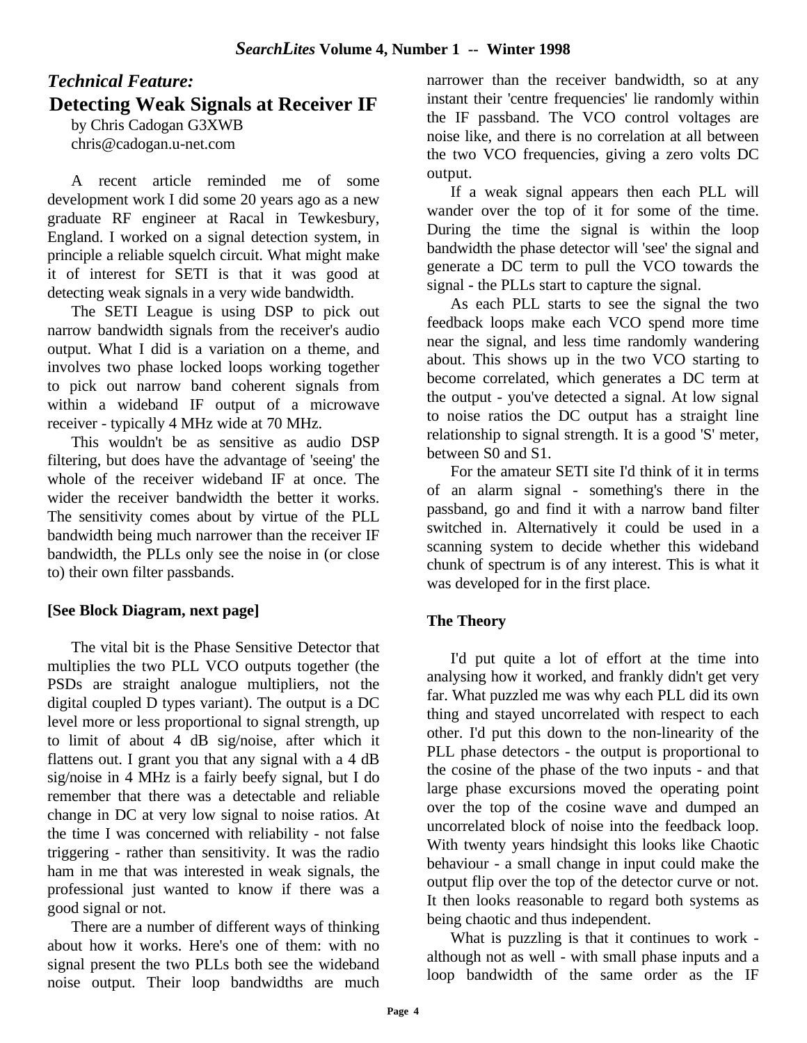# *Technical Feature:* **Detecting Weak Signals at Receiver IF** by Chris Cadogan G3XWB

chris@cadogan.u-net.com

A recent article reminded me of some development work I did some 20 years ago as a new graduate RF engineer at Racal in Tewkesbury, England. I worked on a signal detection system, in principle a reliable squelch circuit. What might make it of interest for SETI is that it was good at detecting weak signals in a very wide bandwidth.

The SETI League is using DSP to pick out narrow bandwidth signals from the receiver's audio output. What I did is a variation on a theme, and involves two phase locked loops working together to pick out narrow band coherent signals from within a wideband IF output of a microwave receiver - typically 4 MHz wide at 70 MHz.

This wouldn't be as sensitive as audio DSP filtering, but does have the advantage of 'seeing' the whole of the receiver wideband IF at once. The wider the receiver bandwidth the better it works. The sensitivity comes about by virtue of the PLL bandwidth being much narrower than the receiver IF bandwidth, the PLLs only see the noise in (or close to) their own filter passbands.

# **[See Block Diagram, next page]**

The vital bit is the Phase Sensitive Detector that multiplies the two PLL VCO outputs together (the PSDs are straight analogue multipliers, not the digital coupled D types variant). The output is a DC level more or less proportional to signal strength, up to limit of about 4 dB sig/noise, after which it flattens out. I grant you that any signal with a 4 dB sig/noise in 4 MHz is a fairly beefy signal, but I do remember that there was a detectable and reliable change in DC at very low signal to noise ratios. At the time I was concerned with reliability - not false triggering - rather than sensitivity. It was the radio ham in me that was interested in weak signals, the professional just wanted to know if there was a good signal or not.

There are a number of different ways of thinking about how it works. Here's one of them: with no signal present the two PLLs both see the wideband noise output. Their loop bandwidths are much narrower than the receiver bandwidth, so at any instant their 'centre frequencies' lie randomly within the IF passband. The VCO control voltages are noise like, and there is no correlation at all between the two VCO frequencies, giving a zero volts DC output.

If a weak signal appears then each PLL will wander over the top of it for some of the time. During the time the signal is within the loop bandwidth the phase detector will 'see' the signal and generate a DC term to pull the VCO towards the signal - the PLLs start to capture the signal.

As each PLL starts to see the signal the two feedback loops make each VCO spend more time near the signal, and less time randomly wandering about. This shows up in the two VCO starting to become correlated, which generates a DC term at the output - you've detected a signal. At low signal to noise ratios the DC output has a straight line relationship to signal strength. It is a good 'S' meter, between S0 and S1.

For the amateur SETI site I'd think of it in terms of an alarm signal - something's there in the passband, go and find it with a narrow band filter switched in. Alternatively it could be used in a scanning system to decide whether this wideband chunk of spectrum is of any interest. This is what it was developed for in the first place.

# **The Theory**

I'd put quite a lot of effort at the time into analysing how it worked, and frankly didn't get very far. What puzzled me was why each PLL did its own thing and stayed uncorrelated with respect to each other. I'd put this down to the non-linearity of the PLL phase detectors - the output is proportional to the cosine of the phase of the two inputs - and that large phase excursions moved the operating point over the top of the cosine wave and dumped an uncorrelated block of noise into the feedback loop. With twenty years hindsight this looks like Chaotic behaviour - a small change in input could make the output flip over the top of the detector curve or not. It then looks reasonable to regard both systems as being chaotic and thus independent.

What is puzzling is that it continues to work although not as well - with small phase inputs and a loop bandwidth of the same order as the IF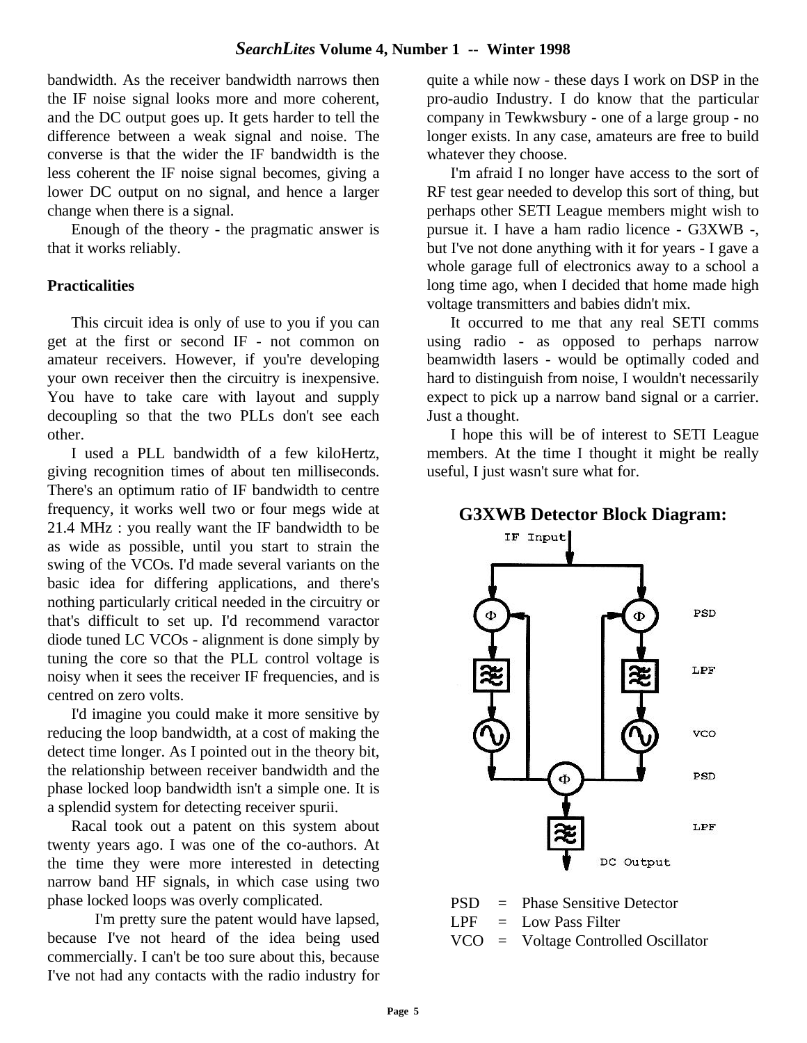bandwidth. As the receiver bandwidth narrows then the IF noise signal looks more and more coherent, and the DC output goes up. It gets harder to tell the difference between a weak signal and noise. The converse is that the wider the IF bandwidth is the less coherent the IF noise signal becomes, giving a lower DC output on no signal, and hence a larger change when there is a signal.

Enough of the theory - the pragmatic answer is that it works reliably.

## **Practicalities**

This circuit idea is only of use to you if you can get at the first or second IF - not common on amateur receivers. However, if you're developing your own receiver then the circuitry is inexpensive. You have to take care with layout and supply decoupling so that the two PLLs don't see each other.

I used a PLL bandwidth of a few kiloHertz, giving recognition times of about ten milliseconds. There's an optimum ratio of IF bandwidth to centre frequency, it works well two or four megs wide at 21.4 MHz : you really want the IF bandwidth to be as wide as possible, until you start to strain the swing of the VCOs. I'd made several variants on the basic idea for differing applications, and there's nothing particularly critical needed in the circuitry or that's difficult to set up. I'd recommend varactor diode tuned LC VCOs - alignment is done simply by tuning the core so that the PLL control voltage is noisy when it sees the receiver IF frequencies, and is centred on zero volts.

I'd imagine you could make it more sensitive by reducing the loop bandwidth, at a cost of making the detect time longer. As I pointed out in the theory bit, the relationship between receiver bandwidth and the phase locked loop bandwidth isn't a simple one. It is a splendid system for detecting receiver spurii.

Racal took out a patent on this system about twenty years ago. I was one of the co-authors. At the time they were more interested in detecting narrow band HF signals, in which case using two phase locked loops was overly complicated.

I'm pretty sure the patent would have lapsed, because I've not heard of the idea being used commercially. I can't be too sure about this, because I've not had any contacts with the radio industry for quite a while now - these days I work on DSP in the pro-audio Industry. I do know that the particular company in Tewkwsbury - one of a large group - no longer exists. In any case, amateurs are free to build whatever they choose.

I'm afraid I no longer have access to the sort of RF test gear needed to develop this sort of thing, but perhaps other SETI League members might wish to pursue it. I have a ham radio licence - G3XWB -, but I've not done anything with it for years - I gave a whole garage full of electronics away to a school a long time ago, when I decided that home made high voltage transmitters and babies didn't mix.

It occurred to me that any real SETI comms using radio - as opposed to perhaps narrow beamwidth lasers - would be optimally coded and hard to distinguish from noise, I wouldn't necessarily expect to pick up a narrow band signal or a carrier. Just a thought.

I hope this will be of interest to SETI League members. At the time I thought it might be really useful, I just wasn't sure what for.



VCO = Voltage Controlled Oscillator

## **G3XWB Detector Block Diagram:**